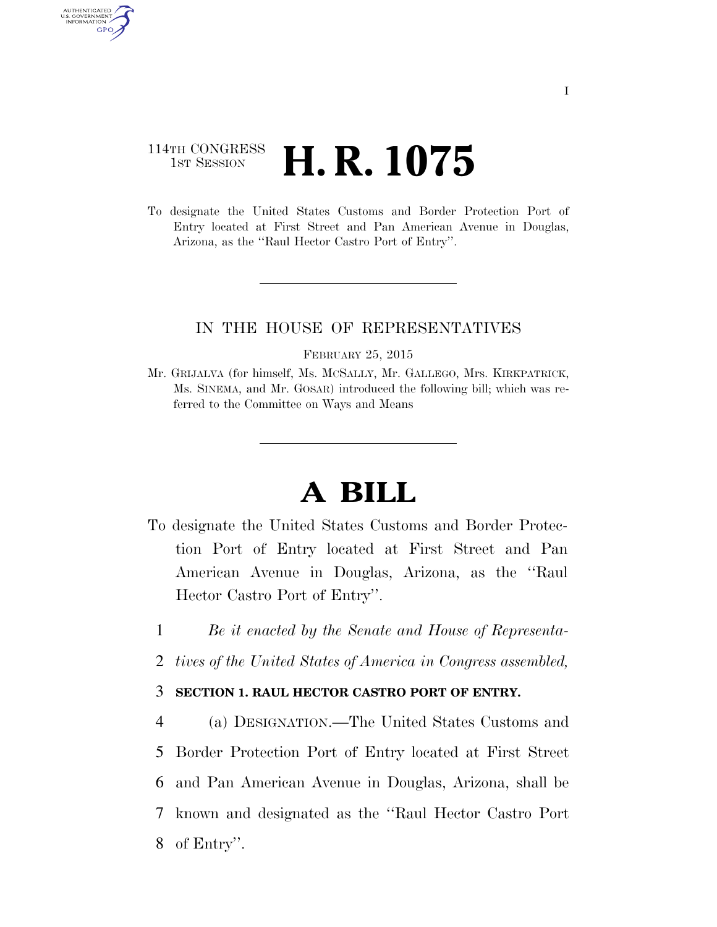## 114TH CONGRESS **1st Session H. R. 1075**

AUTHENTICATED U.S. GOVERNMENT GPO

> To designate the United States Customs and Border Protection Port of Entry located at First Street and Pan American Avenue in Douglas, Arizona, as the ''Raul Hector Castro Port of Entry''.

## IN THE HOUSE OF REPRESENTATIVES

FEBRUARY 25, 2015

Mr. GRIJALVA (for himself, Ms. MCSALLY, Mr. GALLEGO, Mrs. KIRKPATRICK, Ms. SINEMA, and Mr. GOSAR) introduced the following bill; which was referred to the Committee on Ways and Means

## **A BILL**

- To designate the United States Customs and Border Protection Port of Entry located at First Street and Pan American Avenue in Douglas, Arizona, as the ''Raul Hector Castro Port of Entry''.
	- 1 *Be it enacted by the Senate and House of Representa-*
	- 2 *tives of the United States of America in Congress assembled,*

## 3 **SECTION 1. RAUL HECTOR CASTRO PORT OF ENTRY.**

 (a) DESIGNATION.—The United States Customs and Border Protection Port of Entry located at First Street and Pan American Avenue in Douglas, Arizona, shall be known and designated as the ''Raul Hector Castro Port of Entry''.